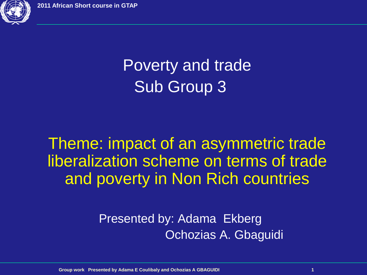

## Poverty and trade Sub Group 3

Theme: impact of an asymmetric trade liberalization scheme on terms of trade and poverty in Non Rich countries

> Presented by: Adama Ekberg Ochozias A. Gbaguidi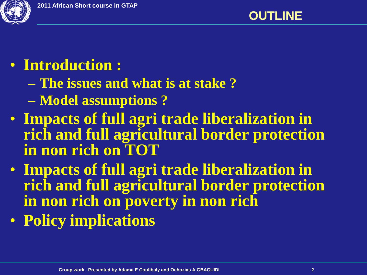

### • **Introduction :**

- **The issues and what is at stake ?**
- **Model assumptions ?**
- **Impacts of full agri trade liberalization in rich and full agricultural border protection in non rich on TOT**
- **Impacts of full agri trade liberalization in rich and full agricultural border protection in non rich on poverty in non rich**
- **Policy implications**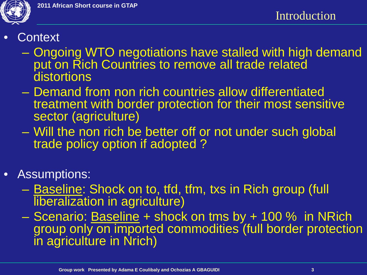

- **Context** 
	- Ongoing WTO negotiations have stalled with high demand put on Rich Countries to remove all trade related distortions
	- Demand from non rich countries allow differentiated treatment with border protection for their most sensitive sector (agriculture)
	- Will the non rich be better off or not under such global trade policy option if adopted ?
- Assumptions:
	- Baseline: Shock on to, tfd, tfm, txs in Rich group (full **liberalization in agriculture)**
	- Scenario: Baseline + shock on tms by + 100 % in NRich group only on imported commodities (full border protection in agriculture in Nrich)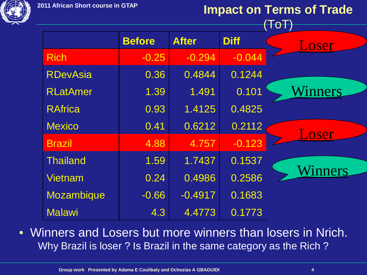#### **Impact on Terms of Trade**

|                   |               |              |             | $\mathsf{ToT}$ |
|-------------------|---------------|--------------|-------------|----------------|
|                   | <b>Before</b> | <b>After</b> | <b>Diff</b> | Loser          |
| <b>Rich</b>       | $-0.25$       | $-0.294$     | $-0.044$    |                |
| <b>RDevAsia</b>   | 0.36          | 0.4844       | 0.1244      |                |
| <b>RLatAmer</b>   | 1.39          | 1.491        | 0.101       | <b>Winners</b> |
| <b>RAfrica</b>    | 0.93          | 1.4125       | 0.4825      |                |
| <b>Mexico</b>     | 0.41          | 0.6212       | 0.2112      | Loser          |
| <b>Brazil</b>     | 4.88          | 4.757        | $-0.123$    |                |
| <b>Thailand</b>   | 1.59          | 1.7437       | 0.1537      |                |
| <b>Vietnam</b>    | 0.24          | 0.4986       | 0.2586      | Winners        |
| <b>Mozambique</b> | $-0.66$       | $-0.4917$    | 0.1683      |                |
| <b>Malawi</b>     | 4.3           | 4.4773       | 0.1773      |                |

• Winners and Losers but more winners than losers in Nrich. Why Brazil is loser ? Is Brazil in the same category as the Rich ?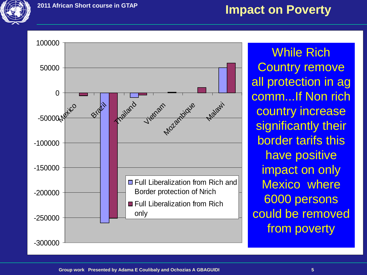

#### **Impact on Poverty**



While Rich **Country remove** all protection in ag comm...If Non rich country increase significantly their border tarifs this have positive impact on only Mexico where 6000 persons could be removed from poverty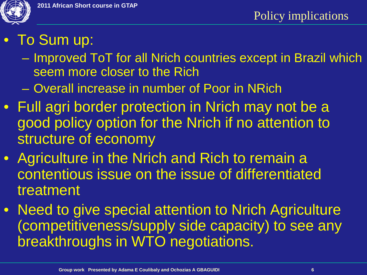

- To Sum up:
	- Improved ToT for all Nrich countries except in Brazil which seem more closer to the Rich
	- Overall increase in number of Poor in NRich
- Full agri border protection in Nrich may not be a good policy option for the Nrich if no attention to structure of economy
- Agriculture in the Nrich and Rich to remain a contentious issue on the issue of differentiated treatment
- Need to give special attention to Nrich Agriculture (competitiveness/supply side capacity) to see any breakthroughs in WTO negotiations.